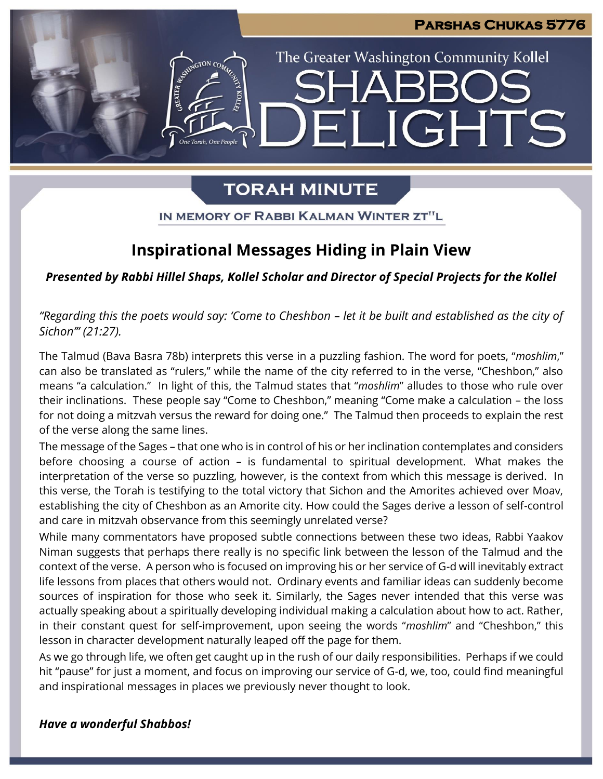### **Parshas Chukas 5776**

# The Greater Washington Community Kollel **JGHTS**  $\mathbf{H}$

# **TORAH MINUTE**

IN MEMORY OF RABBI KALMAN WINTER ZT"L

# **Inspirational Messages Hiding in Plain View**

*Presented by Rabbi Hillel Shaps, Kollel Scholar and Director of Special Projects for the Kollel*

*"Regarding this the poets would say: 'Come to Cheshbon – let it be built and established as the city of Sichon'" (21:27).*

The Talmud (Bava Basra 78b) interprets this verse in a puzzling fashion. The word for poets, "*moshlim*," can also be translated as "rulers," while the name of the city referred to in the verse, "Cheshbon," also means "a calculation." In light of this, the Talmud states that "*moshlim*" alludes to those who rule over their inclinations. These people say "Come to Cheshbon," meaning "Come make a calculation – the loss for not doing a mitzvah versus the reward for doing one." The Talmud then proceeds to explain the rest of the verse along the same lines.

The message of the Sages – that one who is in control of his or her inclination contemplates and considers before choosing a course of action – is fundamental to spiritual development. What makes the interpretation of the verse so puzzling, however, is the context from which this message is derived. In this verse, the Torah is testifying to the total victory that Sichon and the Amorites achieved over Moav, establishing the city of Cheshbon as an Amorite city. How could the Sages derive a lesson of self-control and care in mitzvah observance from this seemingly unrelated verse?

While many commentators have proposed subtle connections between these two ideas, Rabbi Yaakov Niman suggests that perhaps there really is no specific link between the lesson of the Talmud and the context of the verse. A person who is focused on improving his or her service of G-d will inevitably extract life lessons from places that others would not. Ordinary events and familiar ideas can suddenly become sources of inspiration for those who seek it. Similarly, the Sages never intended that this verse was actually speaking about a spiritually developing individual making a calculation about how to act. Rather, in their constant quest for self-improvement, upon seeing the words "*moshlim*" and "Cheshbon," this lesson in character development naturally leaped off the page for them.

As we go through life, we often get caught up in the rush of our daily responsibilities. Perhaps if we could hit "pause" for just a moment, and focus on improving our service of G-d, we, too, could find meaningful and inspirational messages in places we previously never thought to look.

# *Have a wonderful Shabbos!*